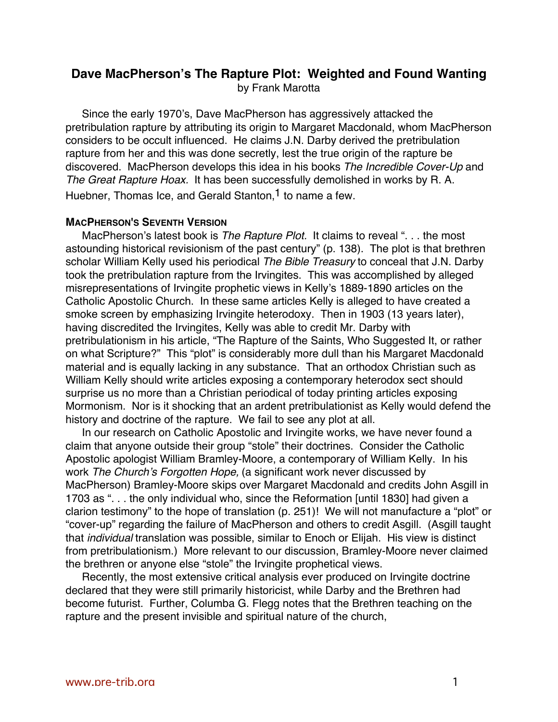# **Dave MacPherson's The Rapture Plot: Weighted and Found Wanting** by Frank Marotta

Since the early 1970's, Dave MacPherson has aggressively attacked the pretribulation rapture by attributing its origin to Margaret Macdonald, whom MacPherson considers to be occult influenced. He claims J.N. Darby derived the pretribulation rapture from her and this was done secretly, lest the true origin of the rapture be discovered. MacPherson develops this idea in his books The Incredible Cover-Up and The Great Rapture Hoax. It has been successfully demolished in works by R. A. Huebner, Thomas Ice, and Gerald Stanton,<sup>1</sup> to name a few.

#### **MACPHERSON'S SEVENTH VERSION**

MacPherson's latest book is The Rapture Plot. It claims to reveal ". . . the most astounding historical revisionism of the past century" (p. 138). The plot is that brethren scholar William Kelly used his periodical The Bible Treasury to conceal that J.N. Darby took the pretribulation rapture from the Irvingites. This was accomplished by alleged misrepresentations of Irvingite prophetic views in Kelly's 1889-1890 articles on the Catholic Apostolic Church. In these same articles Kelly is alleged to have created a smoke screen by emphasizing Irvingite heterodoxy. Then in 1903 (13 years later), having discredited the Irvingites, Kelly was able to credit Mr. Darby with pretribulationism in his article, "The Rapture of the Saints, Who Suggested It, or rather on what Scripture?" This "plot" is considerably more dull than his Margaret Macdonald material and is equally lacking in any substance. That an orthodox Christian such as William Kelly should write articles exposing a contemporary heterodox sect should surprise us no more than a Christian periodical of today printing articles exposing Mormonism. Nor is it shocking that an ardent pretribulationist as Kelly would defend the history and doctrine of the rapture. We fail to see any plot at all.

In our research on Catholic Apostolic and Irvingite works, we have never found a claim that anyone outside their group "stole" their doctrines. Consider the Catholic Apostolic apologist William Bramley-Moore, a contemporary of William Kelly. In his work The Church's Forgotten Hope, (a significant work never discussed by MacPherson) Bramley-Moore skips over Margaret Macdonald and credits John Asgill in 1703 as ". . . the only individual who, since the Reformation [until 1830] had given a clarion testimony" to the hope of translation (p. 251)! We will not manufacture a "plot" or "cover-up" regarding the failure of MacPherson and others to credit Asgill. (Asgill taught that individual translation was possible, similar to Enoch or Elijah. His view is distinct from pretribulationism.) More relevant to our discussion, Bramley-Moore never claimed the brethren or anyone else "stole" the Irvingite prophetical views.

Recently, the most extensive critical analysis ever produced on Irvingite doctrine declared that they were still primarily historicist, while Darby and the Brethren had become futurist. Further, Columba G. Flegg notes that the Brethren teaching on the rapture and the present invisible and spiritual nature of the church,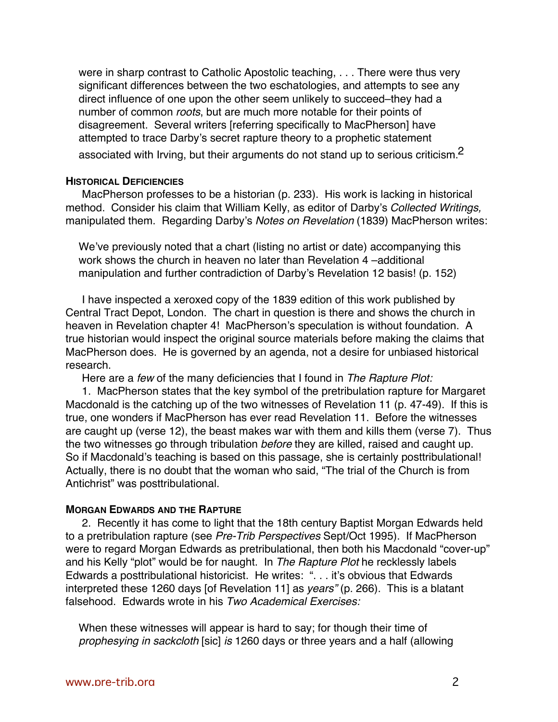were in sharp contrast to Catholic Apostolic teaching, . . . There were thus very significant differences between the two eschatologies, and attempts to see any direct influence of one upon the other seem unlikely to succeed–they had a number of common roots, but are much more notable for their points of disagreement. Several writers [referring specifically to MacPherson] have attempted to trace Darby's secret rapture theory to a prophetic statement associated with Irving, but their arguments do not stand up to serious criticism.<sup>2</sup>

### **HISTORICAL DEFICIENCIES**

MacPherson professes to be a historian (p. 233). His work is lacking in historical method. Consider his claim that William Kelly, as editor of Darby's Collected Writings, manipulated them. Regarding Darby's Notes on Revelation (1839) MacPherson writes:

We've previously noted that a chart (listing no artist or date) accompanying this work shows the church in heaven no later than Revelation 4 –additional manipulation and further contradiction of Darby's Revelation 12 basis! (p. 152)

I have inspected a xeroxed copy of the 1839 edition of this work published by Central Tract Depot, London. The chart in question is there and shows the church in heaven in Revelation chapter 4! MacPherson's speculation is without foundation. A true historian would inspect the original source materials before making the claims that MacPherson does. He is governed by an agenda, not a desire for unbiased historical research.

Here are a few of the many deficiencies that I found in The Rapture Plot:

1. MacPherson states that the key symbol of the pretribulation rapture for Margaret Macdonald is the catching up of the two witnesses of Revelation 11 (p. 47-49). If this is true, one wonders if MacPherson has ever read Revelation 11. Before the witnesses are caught up (verse 12), the beast makes war with them and kills them (verse 7). Thus the two witnesses go through tribulation before they are killed, raised and caught up. So if Macdonald's teaching is based on this passage, she is certainly posttribulational! Actually, there is no doubt that the woman who said, "The trial of the Church is from Antichrist" was posttribulational.

## **MORGAN EDWARDS AND THE RAPTURE**

2. Recently it has come to light that the 18th century Baptist Morgan Edwards held to a pretribulation rapture (see Pre-Trib Perspectives Sept/Oct 1995). If MacPherson were to regard Morgan Edwards as pretribulational, then both his Macdonald "cover-up" and his Kelly "plot" would be for naught. In The Rapture Plot he recklessly labels Edwards a posttribulational historicist. He writes: ". . . it's obvious that Edwards interpreted these 1260 days [of Revelation 11] as years" (p. 266). This is a blatant falsehood. Edwards wrote in his Two Academical Exercises:

When these witnesses will appear is hard to say; for though their time of prophesying in sackcloth [sic] is 1260 days or three years and a half (allowing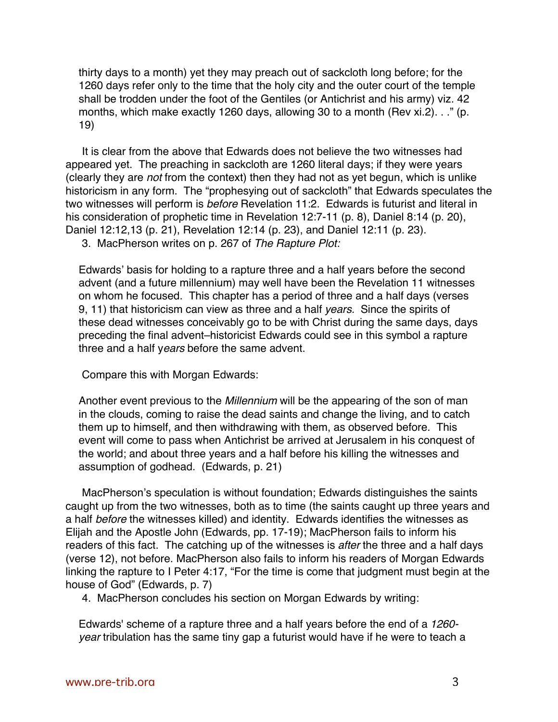thirty days to a month) yet they may preach out of sackcloth long before; for the 1260 days refer only to the time that the holy city and the outer court of the temple shall be trodden under the foot of the Gentiles (or Antichrist and his army) viz. 42 months, which make exactly 1260 days, allowing 30 to a month (Rev xi.2). . ." (p. 19)

It is clear from the above that Edwards does not believe the two witnesses had appeared yet. The preaching in sackcloth are 1260 literal days; if they were years (clearly they are not from the context) then they had not as yet begun, which is unlike historicism in any form. The "prophesying out of sackcloth" that Edwards speculates the two witnesses will perform is *before* Revelation 11:2. Edwards is futurist and literal in his consideration of prophetic time in Revelation 12:7-11 (p. 8), Daniel 8:14 (p. 20), Daniel 12:12,13 (p. 21), Revelation 12:14 (p. 23), and Daniel 12:11 (p. 23).

3. MacPherson writes on p. 267 of The Rapture Plot:

Edwards' basis for holding to a rapture three and a half years before the second advent (and a future millennium) may well have been the Revelation 11 witnesses on whom he focused. This chapter has a period of three and a half days (verses 9, 11) that historicism can view as three and a half years. Since the spirits of these dead witnesses conceivably go to be with Christ during the same days, days preceding the final advent–historicist Edwards could see in this symbol a rapture three and a half years before the same advent.

Compare this with Morgan Edwards:

Another event previous to the Millennium will be the appearing of the son of man in the clouds, coming to raise the dead saints and change the living, and to catch them up to himself, and then withdrawing with them, as observed before. This event will come to pass when Antichrist be arrived at Jerusalem in his conquest of the world; and about three years and a half before his killing the witnesses and assumption of godhead. (Edwards, p. 21)

MacPherson's speculation is without foundation; Edwards distinguishes the saints caught up from the two witnesses, both as to time (the saints caught up three years and a half before the witnesses killed) and identity. Edwards identifies the witnesses as Elijah and the Apostle John (Edwards, pp. 17-19); MacPherson fails to inform his readers of this fact. The catching up of the witnesses is after the three and a half days (verse 12), not before. MacPherson also fails to inform his readers of Morgan Edwards linking the rapture to I Peter 4:17, "For the time is come that judgment must begin at the house of God" (Edwards, p. 7)

4. MacPherson concludes his section on Morgan Edwards by writing:

Edwards' scheme of a rapture three and a half years before the end of a 1260 year tribulation has the same tiny gap a futurist would have if he were to teach a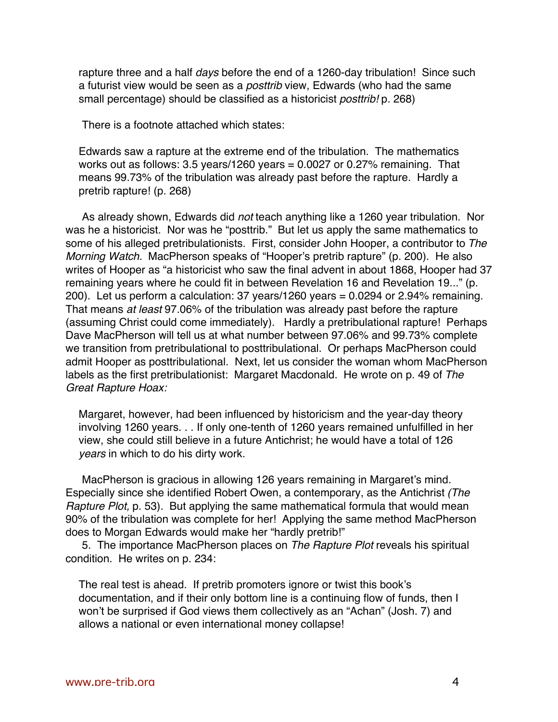rapture three and a half days before the end of a 1260-day tribulation! Since such a futurist view would be seen as a *posttrib* view, Edwards (who had the same small percentage) should be classified as a historicist posttrib! p. 268)

There is a footnote attached which states:

Edwards saw a rapture at the extreme end of the tribulation. The mathematics works out as follows: 3.5 years/1260 years = 0.0027 or 0.27% remaining. That means 99.73% of the tribulation was already past before the rapture. Hardly a pretrib rapture! (p. 268)

As already shown, Edwards did not teach anything like a 1260 year tribulation. Nor was he a historicist. Nor was he "posttrib." But let us apply the same mathematics to some of his alleged pretribulationists. First, consider John Hooper, a contributor to The Morning Watch. MacPherson speaks of "Hooper's pretrib rapture" (p. 200). He also writes of Hooper as "a historicist who saw the final advent in about 1868, Hooper had 37 remaining years where he could fit in between Revelation 16 and Revelation 19..." (p. 200). Let us perform a calculation: 37 years/1260 years = 0.0294 or 2.94% remaining. That means at least 97.06% of the tribulation was already past before the rapture (assuming Christ could come immediately). Hardly a pretribulational rapture! Perhaps Dave MacPherson will tell us at what number between 97.06% and 99.73% complete we transition from pretribulational to posttribulational. Or perhaps MacPherson could admit Hooper as posttribulational. Next, let us consider the woman whom MacPherson labels as the first pretribulationist: Margaret Macdonald. He wrote on p. 49 of The Great Rapture Hoax:

Margaret, however, had been influenced by historicism and the year-day theory involving 1260 years. . . If only one-tenth of 1260 years remained unfulfilled in her view, she could still believe in a future Antichrist; he would have a total of 126 years in which to do his dirty work.

MacPherson is gracious in allowing 126 years remaining in Margaret's mind. Especially since she identified Robert Owen, a contemporary, as the Antichrist (The Rapture Plot, p. 53). But applying the same mathematical formula that would mean 90% of the tribulation was complete for her! Applying the same method MacPherson does to Morgan Edwards would make her "hardly pretrib!"

5. The importance MacPherson places on The Rapture Plot reveals his spiritual condition. He writes on p. 234:

The real test is ahead. If pretrib promoters ignore or twist this book's documentation, and if their only bottom line is a continuing flow of funds, then I won't be surprised if God views them collectively as an "Achan" (Josh. 7) and allows a national or even international money collapse!